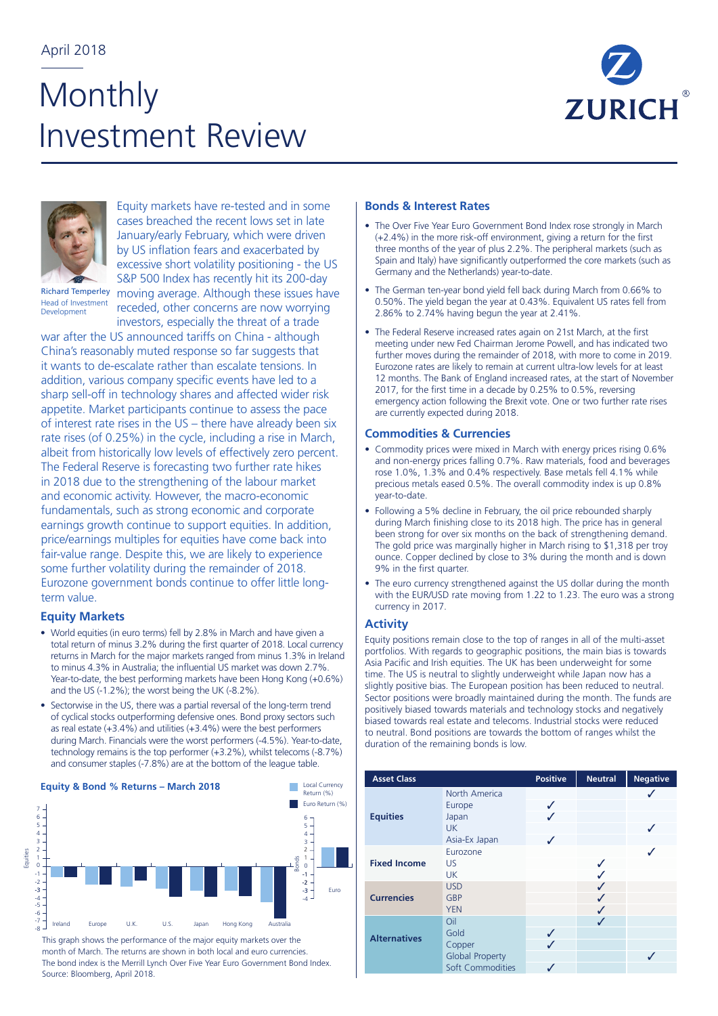# **Monthly** Investment Review





Equity markets have re-tested and in some cases breached the recent lows set in late January/early February, which were driven by US inflation fears and exacerbated by excessive short volatility positioning - the US moving average. Although these issues have

Richard Temperley Head of Investment Development

S&P 500 Index has recently hit its 200-day receded, other concerns are now worrying investors, especially the threat of a trade

war after the US announced tariffs on China - although China's reasonably muted response so far suggests that it wants to de-escalate rather than escalate tensions. In addition, various company specific events have led to a sharp sell-off in technology shares and affected wider risk appetite. Market participants continue to assess the pace of interest rate rises in the US – there have already been six rate rises (of 0.25%) in the cycle, including a rise in March, albeit from historically low levels of effectively zero percent. The Federal Reserve is forecasting two further rate hikes in 2018 due to the strengthening of the labour market and economic activity. However, the macro-economic fundamentals, such as strong economic and corporate earnings growth continue to support equities. In addition, price/earnings multiples for equities have come back into fair-value range. Despite this, we are likely to experience some further volatility during the remainder of 2018. Eurozone government bonds continue to offer little longterm value.

# **Equity Markets**

Equities

- World equities (in euro terms) fell by 2.8% in March and have given a total return of minus 3.2% during the first quarter of 2018. Local currency returns in March for the major markets ranged from minus 1.3% in Ireland to minus 4.3% in Australia; the influential US market was down 2.7%. Year-to-date, the best performing markets have been Hong Kong (+0.6%) and the US (-1.2%); the worst being the UK (-8.2%).
- Sectorwise in the US, there was a partial reversal of the long-term trend of cyclical stocks outperforming defensive ones. Bond proxy sectors such as real estate (+3.4%) and utilities (+3.4%) were the best performers during March. Financials were the worst performers (-4.5%). Year-to-date, technology remains is the top performer (+3.2%), whilst telecoms (-8.7%) and consumer staples (-7.8%) are at the bottom of the league table.

#### 10 **Equity & Bond % Returns – March 2018**



This graph shows the performance of the major equity markets over the month of March. The returns are shown in both local and euro currencies. The bond index is the Merrill Lynch Over Five Year Euro Government Bond Index. Source: Bloomberg, April 2018.

## **Bonds & Interest Rates**

- The Over Five Year Euro Government Bond Index rose strongly in March (+2.4%) in the more risk-off environment, giving a return for the first three months of the year of plus 2.2%. The peripheral markets (such as Spain and Italy) have significantly outperformed the core markets (such as Germany and the Netherlands) year-to-date.
- The German ten-year bond yield fell back during March from 0.66% to 0.50%. The yield began the year at 0.43%. Equivalent US rates fell from 2.86% to 2.74% having begun the year at 2.41%.
- The Federal Reserve increased rates again on 21st March, at the first meeting under new Fed Chairman Jerome Powell, and has indicated two further moves during the remainder of 2018, with more to come in 2019. Eurozone rates are likely to remain at current ultra-low levels for at least 12 months. The Bank of England increased rates, at the start of November 2017, for the first time in a decade by 0.25% to 0.5%, reversing emergency action following the Brexit vote. One or two further rate rises are currently expected during 2018.

### **Commodities & Currencies**

- Commodity prices were mixed in March with energy prices rising 0.6% and non-energy prices falling 0.7%. Raw materials, food and beverages rose 1.0%, 1.3% and 0.4% respectively. Base metals fell 4.1% while precious metals eased 0.5%. The overall commodity index is up 0.8% year-to-date.
- Following a 5% decline in February, the oil price rebounded sharply during March finishing close to its 2018 high. The price has in general been strong for over six months on the back of strengthening demand. The gold price was marginally higher in March rising to \$1,318 per troy ounce. Copper declined by close to 3% during the month and is down 9% in the first quarter.
- The euro currency strengthened against the US dollar during the month with the EUR/USD rate moving from 1.22 to 1.23. The euro was a strong currency in 2017.

# **Activity**

Equity positions remain close to the top of ranges in all of the multi-asset portfolios. With regards to geographic positions, the main bias is towards Asia Pacific and Irish equities. The UK has been underweight for some time. The US is neutral to slightly underweight while Japan now has a slightly positive bias. The European position has been reduced to neutral. Sector positions were broadly maintained during the month. The funds are positively biased towards materials and technology stocks and negatively biased towards real estate and telecoms. Industrial stocks were reduced to neutral. Bond positions are towards the bottom of ranges whilst the duration of the remaining bonds is low.

| <b>Asset Class</b>  |                                                                     | <b>Positive</b> | <b>Neutral</b> | <b>Negative</b> |
|---------------------|---------------------------------------------------------------------|-----------------|----------------|-----------------|
| <b>Equities</b>     | North America<br>Europe<br>Japan<br><b>UK</b><br>Asia-Ex Japan      | ✓<br>✓<br>✓     |                |                 |
| <b>Fixed Income</b> | Eurozone<br>US<br><b>UK</b>                                         |                 |                |                 |
| <b>Currencies</b>   | <b>USD</b><br>GBP<br><b>YEN</b>                                     |                 |                |                 |
| <b>Alternatives</b> | Oil<br>Gold<br>Copper<br><b>Global Property</b><br>Soft Commodities | ✓<br>J          |                |                 |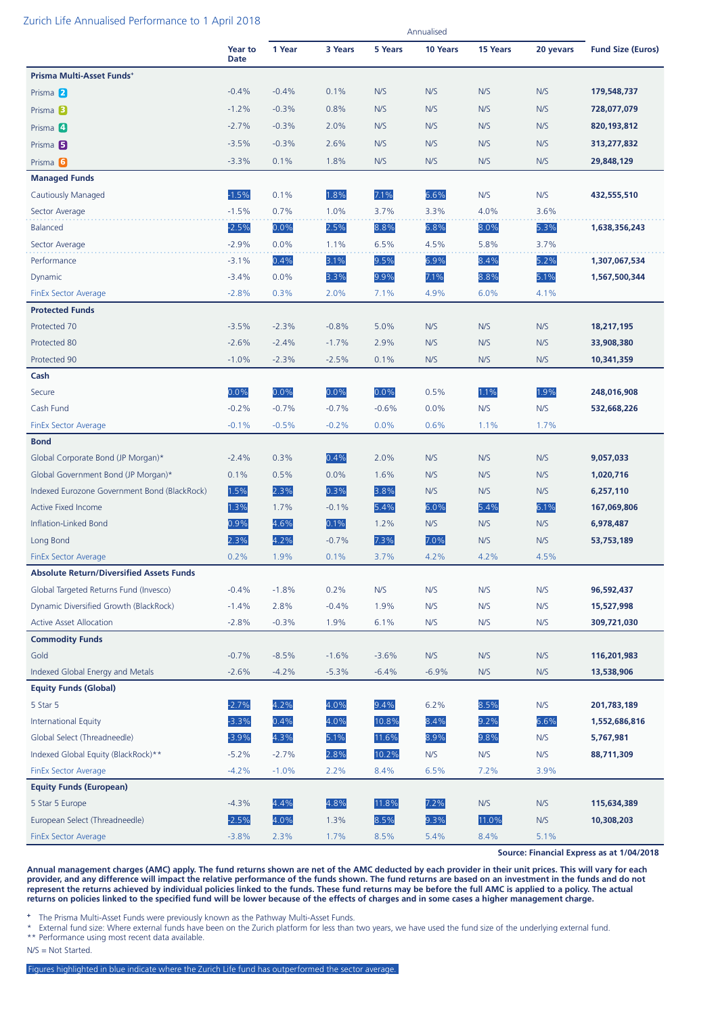#### Zurich Life Annualised Performance to 1 April 2018

|                                                 |                               | Annualised |         |         |          |                 |           |                          |
|-------------------------------------------------|-------------------------------|------------|---------|---------|----------|-----------------|-----------|--------------------------|
|                                                 | <b>Year to</b><br><b>Date</b> | 1 Year     | 3 Years | 5 Years | 10 Years | <b>15 Years</b> | 20 yevars | <b>Fund Size (Euros)</b> |
| Prisma Multi-Asset Funds+                       |                               |            |         |         |          |                 |           |                          |
| Prisma 2                                        | $-0.4%$                       | $-0.4%$    | 0.1%    | N/S     | N/S      | N/S             | N/S       | 179,548,737              |
| Prisma <sup>B</sup>                             | $-1.2%$                       | $-0.3%$    | 0.8%    | N/S     | N/S      | N/S             | N/S       | 728,077,079              |
| Prisma 4                                        | $-2.7%$                       | $-0.3%$    | 2.0%    | N/S     | N/S      | N/S             | N/S       | 820, 193, 812            |
| Prisma <sub>5</sub>                             | $-3.5%$                       | $-0.3%$    | 2.6%    | N/S     | N/S      | N/S             | N/S       | 313,277,832              |
| Prisma <sub>6</sub>                             | $-3.3%$                       | 0.1%       | 1.8%    | N/S     | N/S      | N/S             | N/S       | 29,848,129               |
| <b>Managed Funds</b>                            |                               |            |         |         |          |                 |           |                          |
| Cautiously Managed                              | $-1.5%$                       | 0.1%       | 1.8%    | 7.1%    | 6.6%     | N/S             | N/S       | 432,555,510              |
| Sector Average                                  | $-1.5%$                       | 0.7%       | 1.0%    | 3.7%    | 3.3%     | 4.0%            | 3.6%      |                          |
| <b>Balanced</b>                                 | $-2.5%$                       | 0.0%       | 2.5%    | 8.8%    | 6.8%     | 8.0%            | 5.3%      | 1,638,356,243            |
| Sector Average                                  | $-2.9%$                       | 0.0%       | 1.1%    | 6.5%    | 4.5%     | 5.8%            | 3.7%      |                          |
| Performance                                     | $-3.1%$                       | 0.4%       | 3.1%    | 9.5%    | 6.9%     | 8.4%            | 5.2%      | 1,307,067,534            |
| Dynamic                                         | $-3.4%$                       | 0.0%       | 3.3%    | 9.9%    | 7.1%     | 8.8%            | 5.1%      | 1,567,500,344            |
| <b>FinEx Sector Average</b>                     | $-2.8%$                       | 0.3%       | 2.0%    | 7.1%    | 4.9%     | 6.0%            | 4.1%      |                          |
| <b>Protected Funds</b>                          |                               |            |         |         |          |                 |           |                          |
| Protected 70                                    | $-3.5%$                       | $-2.3%$    | $-0.8%$ | 5.0%    | N/S      | N/S             | N/S       | 18,217,195               |
| Protected 80                                    | $-2.6%$                       | $-2.4%$    | $-1.7%$ | 2.9%    | N/S      | N/S             | N/S       | 33,908,380               |
| Protected 90                                    | $-1.0%$                       | $-2.3%$    | $-2.5%$ | 0.1%    | N/S      | N/S             | N/S       | 10,341,359               |
| Cash                                            |                               |            |         |         |          |                 |           |                          |
| Secure                                          | 0.0%                          | 0.0%       | 0.0%    | 0.0%    | 0.5%     | 1.1%            | 1.9%      | 248,016,908              |
| Cash Fund                                       | $-0.2%$                       | $-0.7%$    | $-0.7%$ | $-0.6%$ | 0.0%     | N/S             | N/S       | 532,668,226              |
| <b>FinEx Sector Average</b>                     | $-0.1%$                       | $-0.5%$    | $-0.2%$ | 0.0%    | 0.6%     | 1.1%            | 1.7%      |                          |
| <b>Bond</b>                                     |                               |            |         |         |          |                 |           |                          |
| Global Corporate Bond (JP Morgan)*              | $-2.4%$                       | 0.3%       | 0.4%    | 2.0%    | N/S      | N/S             | N/S       | 9,057,033                |
| Global Government Bond (JP Morgan)*             | 0.1%                          | 0.5%       | 0.0%    | 1.6%    | N/S      | N/S             | N/S       | 1,020,716                |
| Indexed Eurozone Government Bond (BlackRock)    | 1.5%                          | 2.3%       | 0.3%    | 3.8%    | N/S      | N/S             | N/S       | 6,257,110                |
| <b>Active Fixed Income</b>                      | 1.3%                          | 1.7%       | $-0.1%$ | 5.4%    | 6.0%     | 5.4%            | 6.1%      | 167,069,806              |
| Inflation-Linked Bond                           | 0.9%                          | 4.6%       | 0.1%    | 1.2%    | N/S      | N/S             | N/S       | 6,978,487                |
| Long Bond                                       | 2.3%                          | 4.2%       | $-0.7%$ | 7.3%    | 7.0%     | N/S             | N/S       | 53,753,189               |
| <b>FinEx Sector Average</b>                     | 0.2%                          | 1.9%       | 0.1%    | 3.7%    | 4.2%     | 4.2%            | 4.5%      |                          |
| <b>Absolute Return/Diversified Assets Funds</b> |                               |            |         |         |          |                 |           |                          |
| Global Targeted Returns Fund (Invesco)          | $-0.4%$                       | $-1.8%$    | 0.2%    | N/S     | N/S      | N/S             | N/S       | 96,592,437               |
| Dynamic Diversified Growth (BlackRock)          | $-1.4%$                       | 2.8%       | $-0.4%$ | 1.9%    | N/S      | N/S             | N/S       | 15,527,998               |
| <b>Active Asset Allocation</b>                  | $-2.8%$                       | $-0.3%$    | 1.9%    | 6.1%    | N/S      | N/S             | N/S       | 309,721,030              |
| <b>Commodity Funds</b>                          |                               |            |         |         |          |                 |           |                          |
| Gold                                            | $-0.7%$                       | $-8.5%$    | $-1.6%$ | $-3.6%$ | N/S      | N/S             | N/S       | 116,201,983              |
| Indexed Global Energy and Metals                | $-2.6%$                       | $-4.2%$    | $-5.3%$ | $-6.4%$ | $-6.9%$  | N/S             | N/S       | 13,538,906               |
| <b>Equity Funds (Global)</b>                    |                               |            |         |         |          |                 |           |                          |
| 5 Star 5                                        | $-2.7%$                       | 4.2%       | 4.0%    | 9.4%    | 6.2%     | 8.5%            | N/S       | 201,783,189              |
| <b>International Equity</b>                     | $-3.3%$                       | 0.4%       | 4.0%    | 10.8%   | 8.4%     | 9.2%            | 6.6%      | 1,552,686,816            |
| Global Select (Threadneedle)                    | $-3.9%$                       | 4.3%       | 5.1%    | 11.6%   | 8.9%     | 9.8%            | N/S       | 5,767,981                |
| Indexed Global Equity (BlackRock)**             | $-5.2%$                       | $-2.7%$    | 2.8%    | 10.2%   | N/S      | N/S             | N/S       | 88,711,309               |
| <b>FinEx Sector Average</b>                     | $-4.2%$                       | $-1.0%$    | 2.2%    | 8.4%    | 6.5%     | 7.2%            | 3.9%      |                          |
| <b>Equity Funds (European)</b>                  |                               |            |         |         |          |                 |           |                          |
| 5 Star 5 Europe                                 | $-4.3%$                       | 4.4%       | 4.8%    | 11.8%   | 7.2%     | N/S             | N/S       | 115,634,389              |
| European Select (Threadneedle)                  | $-2.5%$                       | 4.0%       | 1.3%    | 8.5%    | 9.3%     | 11.0%           | N/S       | 10,308,203               |
| <b>FinEx Sector Average</b>                     | $-3.8%$                       | 2.3%       | 1.7%    | 8.5%    | 5.4%     | 8.4%            | 5.1%      |                          |

**Source: Financial Express as at 1/04/2018**

**Annual management charges (AMC) apply. The fund returns shown are net of the AMC deducted by each provider in their unit prices. This will vary for each provider, and any difference will impact the relative performance of the funds shown. The fund returns are based on an investment in the funds and do not represent the returns achieved by individual policies linked to the funds. These fund returns may be before the full AMC is applied to a policy. The actual returns on policies linked to the specified fund will be lower because of the effects of charges and in some cases a higher management charge.**

**<sup>+</sup>** The Prisma Multi-Asset Funds were previously known as the Pathway Multi-Asset Funds.

External fund size: Where external funds have been on the Zurich platform for less than two years, we have used the fund size of the underlying external fund. \*\* Performance using most recent data available.

N/S = Not Started.

Figures highlighted in blue indicate where the Zurich Life fund has outperformed the sector average.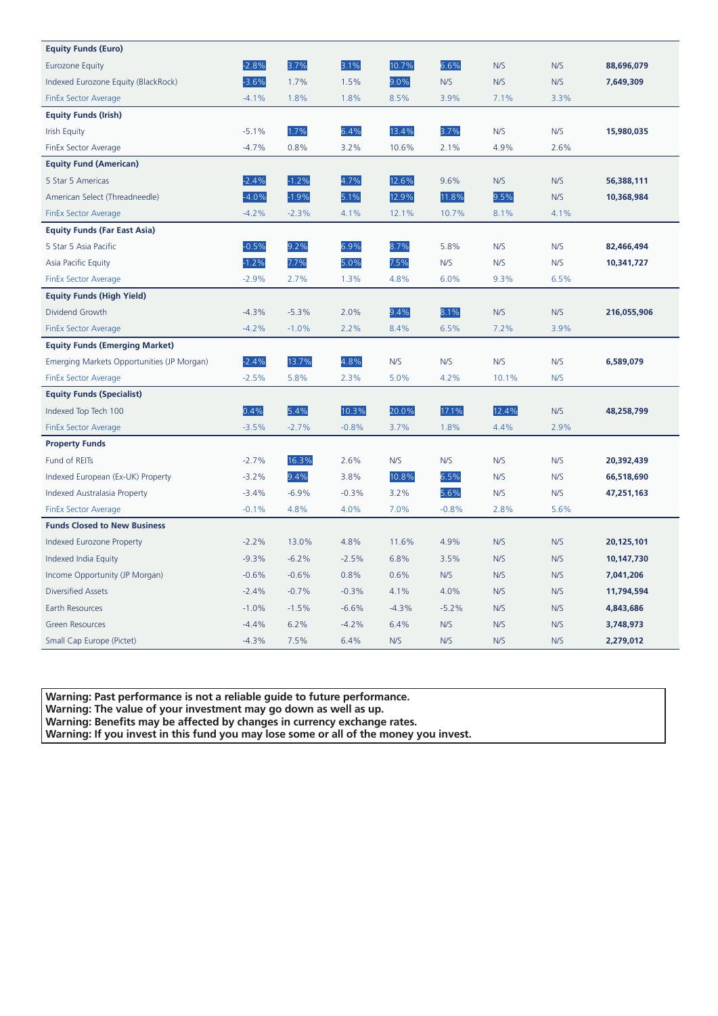| <b>Equity Funds (Euro)</b>                 |         |         |         |         |         |       |      |             |
|--------------------------------------------|---------|---------|---------|---------|---------|-------|------|-------------|
| <b>Eurozone Equity</b>                     | $-2.8%$ | 3.7%    | 3.1%    | 10.7%   | 6.6%    | N/S   | N/S  | 88,696,079  |
| Indexed Eurozone Equity (BlackRock)        | $-3.6%$ | 1.7%    | 1.5%    | 9.0%    | N/S     | N/S   | N/S  | 7,649,309   |
| <b>FinEx Sector Average</b>                | $-4.1%$ | 1.8%    | 1.8%    | 8.5%    | 3.9%    | 7.1%  | 3.3% |             |
| <b>Equity Funds (Irish)</b>                |         |         |         |         |         |       |      |             |
| <b>Irish Equity</b>                        | $-5.1%$ | 1.7%    | 6.4%    | 13.4%   | 3.7%    | N/S   | N/S  | 15,980,035  |
| FinEx Sector Average                       | $-4.7%$ | 0.8%    | 3.2%    | 10.6%   | 2.1%    | 4.9%  | 2.6% |             |
| <b>Equity Fund (American)</b>              |         |         |         |         |         |       |      |             |
| 5 Star 5 Americas                          | $-2.4%$ | $-1.2%$ | 4.7%    | 12.6%   | 9.6%    | N/S   | N/S  | 56,388,111  |
| American Select (Threadneedle)             | $-4.0%$ | $-1.9%$ | 5.1%    | 12.9%   | 11.8%   | 9.5%  | N/S  | 10,368,984  |
| <b>FinEx Sector Average</b>                | $-4.2%$ | $-2.3%$ | 4.1%    | 12.1%   | 10.7%   | 8.1%  | 4.1% |             |
| <b>Equity Funds (Far East Asia)</b>        |         |         |         |         |         |       |      |             |
| 5 Star 5 Asia Pacific                      | $-0.5%$ | 9.2%    | 6.9%    | 8.7%    | 5.8%    | N/S   | N/S  | 82,466,494  |
| <b>Asia Pacific Equity</b>                 | $-1.2%$ | 7.7%    | 5.0%    | 7.5%    | N/S     | N/S   | N/S  | 10,341,727  |
| <b>FinEx Sector Average</b>                | $-2.9%$ | 2.7%    | 1.3%    | 4.8%    | 6.0%    | 9.3%  | 6.5% |             |
| <b>Equity Funds (High Yield)</b>           |         |         |         |         |         |       |      |             |
| Dividend Growth                            | $-4.3%$ | $-5.3%$ | 2.0%    | 9.4%    | 8.1%    | N/S   | N/S  | 216,055,906 |
| <b>FinEx Sector Average</b>                | $-4.2%$ | $-1.0%$ | 2.2%    | 8.4%    | 6.5%    | 7.2%  | 3.9% |             |
| <b>Equity Funds (Emerging Market)</b>      |         |         |         |         |         |       |      |             |
| Emerging Markets Opportunities (JP Morgan) | $-2.4%$ | 13.7%   | 4.8%    | N/S     | N/S     | N/S   | N/S  | 6,589,079   |
| <b>FinEx Sector Average</b>                | $-2.5%$ | 5.8%    | 2.3%    | 5.0%    | 4.2%    | 10.1% | N/S  |             |
| <b>Equity Funds (Specialist)</b>           |         |         |         |         |         |       |      |             |
| Indexed Top Tech 100                       | 0.4%    | 5.4%    | 10.3%   | 20.0%   | 17.1%   | 12.4% | N/S  | 48,258,799  |
| <b>FinEx Sector Average</b>                | $-3.5%$ | $-2.7%$ | $-0.8%$ | 3.7%    | 1.8%    | 4.4%  | 2.9% |             |
| <b>Property Funds</b>                      |         |         |         |         |         |       |      |             |
| Fund of REITs                              | $-2.7%$ | 16.3%   | 2.6%    | N/S     | N/S     | N/S   | N/S  | 20,392,439  |
| Indexed European (Ex-UK) Property          | $-3.2%$ | 9.4%    | 3.8%    | 10.8%   | 6.5%    | N/S   | N/S  | 66,518,690  |
| <b>Indexed Australasia Property</b>        | $-3.4%$ | $-6.9%$ | $-0.3%$ | 3.2%    | 5.6%    | N/S   | N/S  | 47,251,163  |
| <b>FinEx Sector Average</b>                | $-0.1%$ | 4.8%    | 4.0%    | 7.0%    | $-0.8%$ | 2.8%  | 5.6% |             |
| <b>Funds Closed to New Business</b>        |         |         |         |         |         |       |      |             |
| <b>Indexed Eurozone Property</b>           | $-2.2%$ | 13.0%   | 4.8%    | 11.6%   | 4.9%    | N/S   | N/S  | 20,125,101  |
| Indexed India Equity                       | $-9.3%$ | $-6.2%$ | $-2.5%$ | 6.8%    | 3.5%    | N/S   | N/S  | 10,147,730  |
| Income Opportunity (JP Morgan)             | $-0.6%$ | $-0.6%$ | 0.8%    | 0.6%    | N/S     | N/S   | N/S  | 7,041,206   |
| <b>Diversified Assets</b>                  | $-2.4%$ | $-0.7%$ | $-0.3%$ | 4.1%    | 4.0%    | N/S   | N/S  | 11,794,594  |
| Earth Resources                            | $-1.0%$ | $-1.5%$ | $-6.6%$ | $-4.3%$ | $-5.2%$ | N/S   | N/S  | 4,843,686   |
| <b>Green Resources</b>                     | $-4.4%$ | 6.2%    | $-4.2%$ | 6.4%    | N/S     | N/S   | N/S  | 3,748,973   |
| Small Cap Europe (Pictet)                  | $-4.3%$ | 7.5%    | 6.4%    | N/S     | N/S     | N/S   | N/S  | 2,279,012   |

**Warning: Past performance is not a reliable guide to future performance.** 

**Warning: The value of your investment may go down as well as up.** 

**Warning: Benefits may be affected by changes in currency exchange rates.** 

**Warning: If you invest in this fund you may lose some or all of the money you invest.**